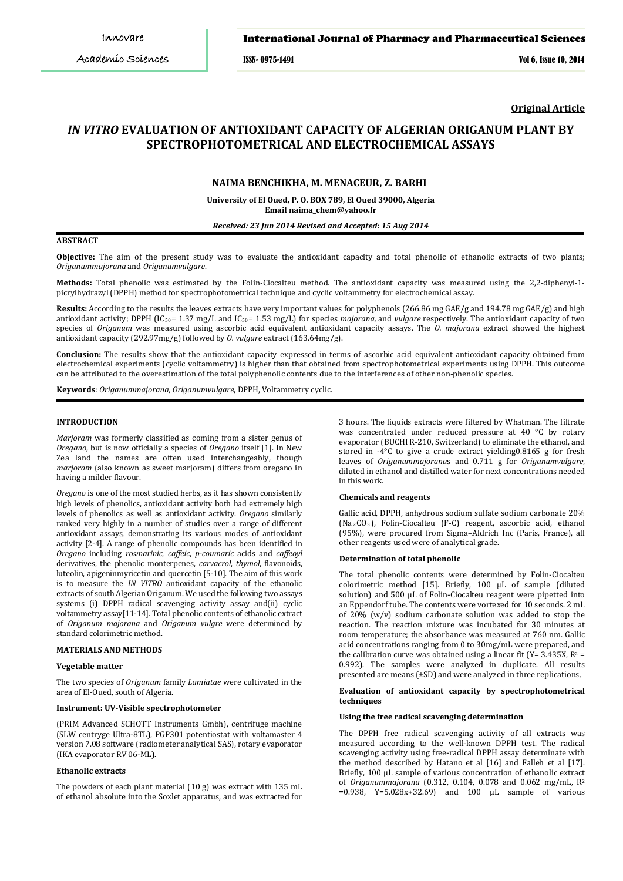*Int J Pharm Pharm Sci, Vol 6, Issue 10, 577-580* ISSN- 0975-1491 Vol 6, Issue 10, 2014

**Original Article**

# *IN VITRO* **EVALUATION OF ANTIOXIDANT CAPACITY OF ALGERIAN ORIGANUM PLANT BY SPECTROPHOTOMETRICAL AND ELECTROCHEMICAL ASSAYS**

## **NAIMA BENCHIKHA, M. MENACEUR, Z. BARHI**

**University of El Oued, P. O. BOX 789, El Oued 39000, Algeria Email naima\_chem@yahoo.fr**

*Received: 23 Jun 2014 Revised and Accepted: 15 Aug 2014*

## **ABSTRACT**

**Objective:** The aim of the present study was to evaluate the antioxidant capacity and total phenolic of ethanolic extracts of two plants; *Origanummajorana* and *Origanumvulgare*.

**Methods:** Total phenolic was estimated by the Folin-Ciocalteu method. The antioxidant capacity was measured using the 2,2-diphenyl-1 picrylhydrazyl (DPPH) method for spectrophotometrical technique and cyclic voltammetry for electrochemical assay.

**Results:** According to the results the leaves extracts have very important values for polyphenols (266.86 mg GAE/g and 194.78 mg GAE/g) and high antioxidant activity; DPPH (IC<sub>50</sub>= 1.37 mg/L and IC<sub>50</sub>= 1.53 mg/L) for species *majorana*, and *vulgare* respectively. The antioxidant capacity of two species of *Origanum* was measured using ascorbic acid equivalent antioxidant capacity assays. The *O. majorana* extract showed the highest antioxidant capacity (292.97mg/g) followed by *O. vulgare* extract (163.64mg/g).

**Conclusion:** The results show that the antioxidant capacity expressed in terms of ascorbic acid equivalent antioxidant capacity obtained from electrochemical experiments (cyclic voltammetry) is higher than that obtained from spectrophotometrical experiments using DPPH. This outcome can be attributed to the overestimation of the total polyphenolic contents due to the interferences of other non-phenolic species.

**Keywords**: *Origanummajorana, Origanumvulgare*, DPPH, Voltammetry cyclic.

### **INTRODUCTION**

*Marjoram* was formerly classified as coming from a sister genus of *Oregano*, but is now officially a species of *Oregano* itself [1]. In New Zea land the names are often used interchangeably, though *marjoram* (also known as sweet marjoram) differs from oregano in having a milder flavour.

*Oregano* is one of the most studied herbs, as it has shown consistently high levels of phenolics, antioxidant activity both had extremely high levels of phenolics as well as antioxidant activity. *Oregano* similarly ranked very highly in a number of studies over a range of different antioxidant assays, demonstrating its various modes of antioxidant activity [2-4]. A range of phenolic compounds has been identified in *Oregano* including *rosmarinic*, *caffeic*, *p-coumaric* acids and *caffeoyl* derivatives, the phenolic monterpenes, *carvacrol*, *thymol*, flavonoids, luteolin, apigeninmyricetin and quercetin [5-10]. The aim of this work is to measure the *IN VITRO* antioxidant capacity of the ethanolic extracts of south Algerian Origanum. We used the following two assays systems (i) DPPH radical scavenging activity assay and(ii) cyclic voltammetry assay[11-14]. Total phenolic contents of ethanolic extract of *Origanum majorana* and *Origanum vulgre* were determined by standard colorimetric method.

## **MATERIALS AND METHODS**

### **Vegetable matter**

The two species of *Origanum* family *Lamiatae* were cultivated in the area of El-Oued, south of Algeria.

### **Instrument: UV-Visible spectrophotometer**

(PRIM Advanced SCHOTT Instruments Gmbh), centrifuge machine (SLW centryge Ultra-8TL), PGP301 potentiostat with voltamaster 4 version 7.08 software (radiometer analytical SAS), rotary evaporator (IKA evaporator RV 06-ML).

### **Ethanolic extracts**

The powders of each plant material (10 g) was extract with 135 mL of ethanol absolute into the Soxlet apparatus, and was extracted for

3 hours. The liquids extracts were filtered by Whatman. The filtrate was concentrated under reduced pressure at 40 °C by rotary evaporator (BUCHI R-210, Switzerland) to eliminate the ethanol, and stored in -4°C to give a crude extract yielding0.8165 g for fresh leaves of *Origanummajorana*s and 0.711 g for *Origanumvulgare*, diluted in ethanol and distilled water for next concentrations needed in this work.

## **Chemicals and reagents**

Gallic acid, DPPH, anhydrous sodium sulfate sodium carbonate 20% (Na2CO3 ), Folin-Ciocalteu (F-C) reagent, ascorbic acid, ethanol (95%), were procured from Sigma–Aldrich Inc (Paris, France), all other reagents used were of analytical grade.

#### **Determination of total phenolic**

The total phenolic contents were determined by Folin-Ciocalteu colorimetric method [15]. Briefly, 100 μL of sample (diluted solution) and 500 μL of Folin-Ciocalteu reagent were pipetted into an Eppendorf tube. The contents were vortexed for 10 seconds. 2 mL of 20% (w/v) sodium carbonate solution was added to stop the reaction. The reaction mixture was incubated for 30 minutes at room temperature; the absorbance was measured at 760 nm. Gallic acid concentrations ranging from 0 to 30mg/mL were prepared, and the calibration curve was obtained using a linear fit (Y=  $3.435X$ , R<sup>2</sup> = 0.992). The samples were analyzed in duplicate. All results presented are means (±SD) and were analyzed in three replications.

### **Evaluation of antioxidant capacity by spectrophotometrical techniques**

### **Using the free radical scavenging determination**

The DPPH free radical scavenging activity of all extracts was measured according to the well-known DPPH test. The radical scavenging activity using free-radical DPPH assay determinate with the method described by Hatano et al [16] and Falleh et al [17]. Briefly, 100 μL sample of various concentration of ethanolic extract of *Origanummajorana* (0.312, 0.104, 0.078 and 0.062 mg/mL, R*<sup>P</sup>* 2  $=0.938$ , Y=5.028x+32.69) and 100  $\mu$  sample of various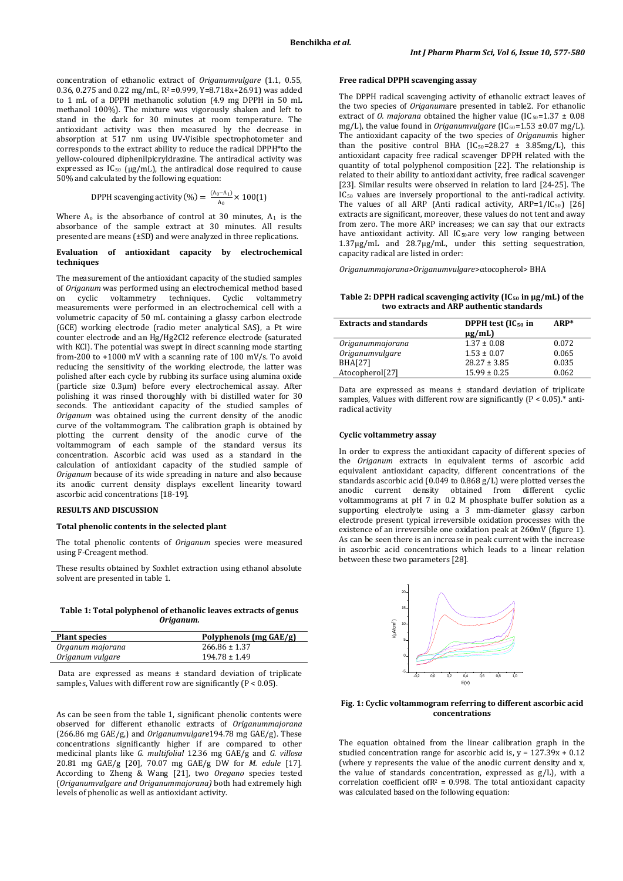concentration of ethanolic extract of *Origanumvulgare* (1.1, 0.55, 0.36, 0.275 and 0.22 mg/mL, R2 =0.999, Y=8.718x+26.91) was added to 1 mL of a DPPH methanolic solution (4.9 mg DPPH in 50 mL methanol 100%). The mixture was vigorously shaken and left to stand in the dark for 30 minutes at room temperature. The antioxidant activity was then measured by the decrease in absorption at 517 nm using UV-Visible spectrophotometer and corresponds to the extract ability to reduce the radical DPPH\*to the yellow-coloured diphenilpicryldrazine. The antiradical activity was expressed as IC50 (μg/mL), the antiradical dose required to cause 50% and calculated by the following equation:

DPPH scavenging activity (%) = 
$$
\frac{(A_0 - A_1)}{A_0} \times 100(1)
$$

Where  $A_0$  is the absorbance of control at 30 minutes,  $A_1$  is the absorbance of the sample extract at 30 minutes. All results presented are means (±SD) and were analyzed in three replications.

### **Evaluation of antioxidant capacity by electrochemical techniques**

The measurement of the antioxidant capacity of the studied samples of *Origanum* was performed using an electrochemical method based<br>on cyclic voltammetry techniques. Cyclic voltammetry on cyclic voltammetry techniques. measurements were performed in an electrochemical cell with a volumetric capacity of 50 mL containing a glassy carbon electrode (GCE) working electrode (radio meter analytical SAS), a Pt wire counter electrode and an Hg/Hg2Cl2 reference electrode (saturated with KCl). The potential was swept in direct scanning mode starting from-200 to +1000 mV with a scanning rate of 100 mV/s. To avoid reducing the sensitivity of the working electrode, the latter was polished after each cycle by rubbing its surface using alumina oxide (particle size 0.3μm) before every electrochemical assay. After polishing it was rinsed thoroughly with bi distilled water for 30 seconds. The antioxidant capacity of the studied samples of *Origanum* was obtained using the current density of the anodic curve of the voltammogram. The calibration graph is obtained by plotting the current density of the anodic curve of the voltammogram of each sample of the standard versus its concentration. Ascorbic acid was used as a standard in the calculation of antioxidant capacity of the studied sample of *Origanum* because of its wide spreading in nature and also because its anodic current density displays excellent linearity toward ascorbic acid concentrations [18-19].

## **RESULTS AND DISCUSSION**

### **Total phenolic contents in the selected plant**

The total phenolic contents of *Origanum* species were measured using F-Creagent method.

These results obtained by Soxhlet extraction using ethanol absolute solvent are presented in table 1.

### **Table 1: Total polyphenol of ethanolic leaves extracts of genus**  *Origanum.*

| <b>Plant species</b> | Polyphenols (mg GAE/g) |
|----------------------|------------------------|
| Organum majorana     | $266.86 \pm 1.37$      |
| Origanum vulgare     | $194.78 \pm 1.49$      |

Data are expressed as means ± standard deviation of triplicate samples, Values with different row are significantly  $(P < 0.05)$ .

As can be seen from the table 1, significant phenolic contents were observed for different ethanolic extracts of *Origanummajorana* (266.86 mg GAE/g,) and *Origanumvulgare*194.78 mg GAE/g). These concentrations significantly higher if are compared to other medicinal plants like *G. multifolial* 12.36 mg GAE/g and *G. villosa* 20.81 mg GAE/g [20], 70.07 mg GAE/g DW for *M. edule* [17]. According to Zheng & Wang [21], two *Oregano* species tested (*Origanumvulgare and Origanummajorana)* both had extremely high levels of phenolic as well as antioxidant activity.

### **Free radical DPPH scavenging assay**

The DPPH radical scavenging activity of ethanolic extract leaves of the two species of *Origanum*are presented in table2. For ethanolic extract of *O. majorana* obtained the higher value  $[IC_{50} = 1.37 \pm 0.08]$ mg/L), the value found in *Origanumvulgare* (IC<sub>50</sub>=1.53 ±0.07 mg/L). The antioxidant capacity of the two species of *Origanum*is higher than the positive control BHA (IC<sub>50</sub>=28.27 ± 3.85mg/L), this antioxidant capacity free radical scavenger DPPH related with the quantity of total polyphenol composition [22]. The relationship is related to their ability to antioxidant activity, free radical scavenger [23]. Similar results were observed in relation to lard [24-25]. The  $IC_{50}$  values are inversely proportional to the anti-radical activity. The values of all ARP (Anti radical activity,  $ARP=1/IC_{50}$ ) [26] extracts are significant, moreover, these values do not tent and away from zero. The more ARP increases; we can say that our extracts have antioxidant activity. All IC50 are very low ranging between 1.37μg/mL and 28.7μg/mL, under this setting sequestration, capacity radical are listed in order:

*Origanummajorana>Origanumvulgare*>αtocopherol> BHA

**Table 2: DPPH radical scavenging activity (IC50 in μg/mL) of the two extracts and ARP authentic standards**

| <b>Extracts and standards</b> | DPPH test (IC <sub>50</sub> in<br>$\mu$ g/mL) | $AP*$ |
|-------------------------------|-----------------------------------------------|-------|
| Origanummajorana              | $1.37 \pm 0.08$                               | 0.072 |
| <i>Origanumvulgare</i>        | $1.53 \pm 0.07$                               | 0.065 |
| <b>BHA[27]</b>                | $28.27 \pm 3.85$                              | 0.035 |
| Atocopherol[27]               | $15.99 \pm 0.25$                              | 0.062 |

Data are expressed as means ± standard deviation of triplicate samples, Values with different row are significantly  $(P < 0.05)$ .\* antiradical activity

### **Cyclic voltammetry assay**

In order to express the antioxidant capacity of different species of the *Origanum* extracts in equivalent terms of ascorbic acid equivalent antioxidant capacity, different concentrations of the standards ascorbic acid (0.049 to 0.868 g/L) were plotted verses the anodic current density obtained from different cyclic voltammograms at pH 7 in 0.2 M phosphate buffer solution as a supporting electrolyte using a 3 mm-diameter glassy carbon electrode present typical irreversible oxidation processes with the existence of an irreversible one oxidation peak at 260mV (figure 1). As can be seen there is an increase in peak current with the increase in ascorbic acid concentrations which leads to a linear relation between these two parameters [28].



### **Fig. 1: Cyclic voltammogram referring to different ascorbic acid concentrations**

The equation obtained from the linear calibration graph in the studied concentration range for ascorbic acid is,  $y = 127.39x + 0.12$ (where y represents the value of the anodic current density and x, the value of standards concentration, expressed as g/L), with a correlation coefficient of $R^2$  = 0.998. The total antioxidant capacity was calculated based on the following equation: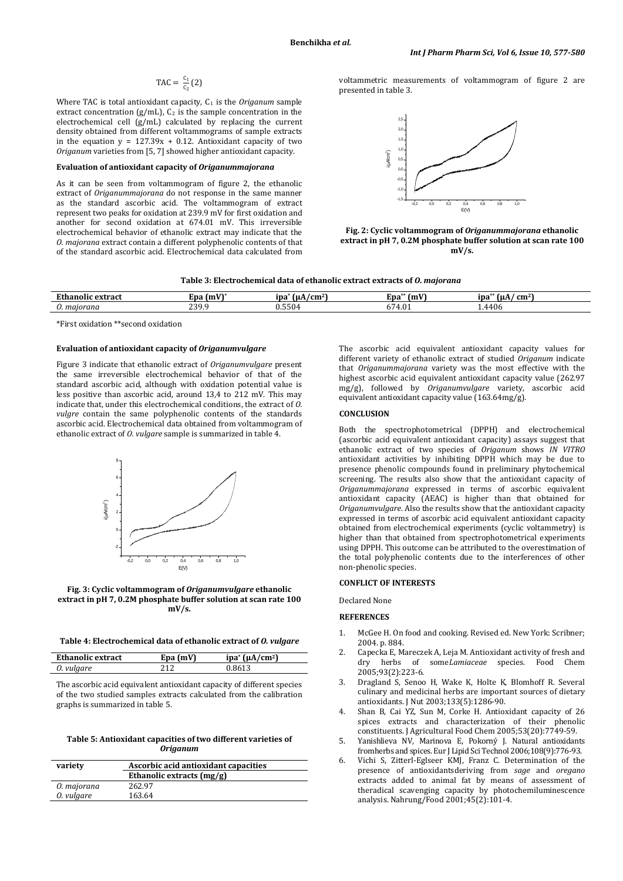$$
\text{TAC} = \frac{c_1}{c_2} (2)
$$

Where TAC is total antioxidant capacity, C<sub>1</sub> is the *Origanum* sample extract concentration (g/mL), C2 is the sample concentration in the electrochemical cell (g/mL) calculated by replacing the current density obtained from different voltammograms of sample extracts in the equation  $y = 127.39x + 0.12$ . Antioxidant capacity of two *Origanum* varieties from [5, 7] showed higher antioxidant capacity.

## **Evaluation of antioxidant capacity of** *Origanummajorana*

As it can be seen from voltammogram of figure 2, the ethanolic extract of *Origanummajorana* do not response in the same manner as the standard ascorbic acid. The voltammogram of extract represent two peaks for oxidation at 239.9 mV for first oxidation and another for second oxidation at 674.01 mV. This irreversible electrochemical behavior of ethanolic extract may indicate that the *O. majorana* extract contain a different polyphenolic contents of that of the standard ascorbic acid. Electrochemical data calculated from

voltammetric measurements of voltammogram of figure 2 are presented in table 3.



**Fig. 2: Cyclic voltammogram of** *Origanummajorana* **ethanolic extract in pH 7, 0.2M phosphate buffer solution at scan rate 100 mV/s.**

| Table 3: Electrochemical data of ethanolic extract extracts of <i>0. majorana</i> |  |
|-----------------------------------------------------------------------------------|--|
|-----------------------------------------------------------------------------------|--|

| Ethanolic<br>extract  | $\mathbf{v}$<br>(m)<br>Epa | --<br>$\gamma$ cm <sup>2</sup><br>ıpa<br>TuA. | --<br>(mV<br>Epa           | . .<br>l u A<br>$\mathbf{cm}^2$<br>npa* |
|-----------------------|----------------------------|-----------------------------------------------|----------------------------|-----------------------------------------|
| $\sim$<br>0. majorana | 2200<br>ر ر سے             | $  \circ$<br>ა.აას"                           | $\mathbf{r}$<br>T.0.1<br>U | 4406                                    |

\*First oxidation \*\*second oxidation

### **Evaluation of antioxidant capacity of** *Origanumvulgare*

Figure 3 indicate that ethanolic extract of *Origanumvulgare* present the same irreversible electrochemical behavior of that of the standard ascorbic acid, although with oxidation potential value is less positive than ascorbic acid, around 13,4 to 212 mV. This may indicate that, under this electrochemical conditions, the extract of *O. vulgre* contain the same polyphenolic contents of the standards ascorbic acid. Electrochemical data obtained from voltammogram of ethanolic extract of *O. vulgare* sample is summarized in table 4.





**Table 4: Electrochemical data of ethanolic extract of** *O. vulgare*

| Ethanolic extract | Epa (mV) | ipa* $(\mu A/cm^2)$ |
|-------------------|----------|---------------------|
| 0. vulgare        | 71 7     |                     |

The ascorbic acid equivalent antioxidant capacity of different species of the two studied samples extracts calculated from the calibration graphs is summarized in table 5.

### **Table 5: Antioxidant capacities of two different varieties of**  *Origanum*

| variety     | Ascorbic acid antioxidant capacities |  |  |
|-------------|--------------------------------------|--|--|
|             | Ethanolic extracts (mg/g)            |  |  |
| 0. majorana | 262.97                               |  |  |
| 0. vulgare  | 163.64                               |  |  |

The ascorbic acid equivalent antioxidant capacity values for different variety of ethanolic extract of studied *Origanum* indicate that *Origanummajorana* variety was the most effective with the highest ascorbic acid equivalent antioxidant capacity value (262.97 mg/g), followed by *Origanumvulgare* variety, ascorbic acid equivalent antioxidant capacity value (163.64mg/g).

### **CONCLUSION**

Both the spectrophotometrical (DPPH) and electrochemical (ascorbic acid equivalent antioxidant capacity) assays suggest that ethanolic extract of two species of *Origanum* shows *IN VITRO* antioxidant activities by inhibiting DPPH which may be due to presence phenolic compounds found in preliminary phytochemical screening. The results also show that the antioxidant capacity of *Origanummajorana* expressed in terms of ascorbic equivalent antioxidant capacity (AEAC) is higher than that obtained for *Origanumvulgare*. Also the results show that the antioxidant capacity expressed in terms of ascorbic acid equivalent antioxidant capacity obtained from electrochemical experiments (cyclic voltammetry) is higher than that obtained from spectrophotometrical experiments using DPPH. This outcome can be attributed to the overestimation of the total polyphenolic contents due to the interferences of other non-phenolic species.

### **CONFLICT OF INTERESTS**

Declared None

### **REFERENCES**

- 1. McGee H. On food and cooking. Revised ed. New York: Scribner; 2004. p. 884.
- 2. Capecka E, Mareczek A, Leja M. Antioxidant activity of fresh and<br>dry herbs of some*Lamiaceae* species. Food Chem herbs of someLamiaceae species. Food Chem 2005;93(2):223-6.
- 3. Dragland S, Senoo H, Wake K, Holte K, Blomhoff R. Several culinary and medicinal herbs are important sources of dietary antioxidants. J Nut 2003;133(5):1286-90.
- 4. Shan B, Cai YZ, Sun M, Corke H. Antioxidant capacity of 26 spices extracts and characterization of their phenolic constituents. J Agricultural Food Chem 2005;53(20):7749-59.
- 5. Yanishlieva NV, Marinova E, Pokorný J. Natural antioxidants fromherbs and spices. Eur J Lipid Sci Technol 2006;108(9):776-93.
- 6. Vichi S, Zitterl-Eglseer KMJ, Franz C. Determination of the presence of antioxidantsderiving from *sage* and *oregano* extracts added to animal fat by means of assessment of theradical scavenging capacity by photochemiluminescence analysis. Nahrung/Food 2001;45(2):101-4.